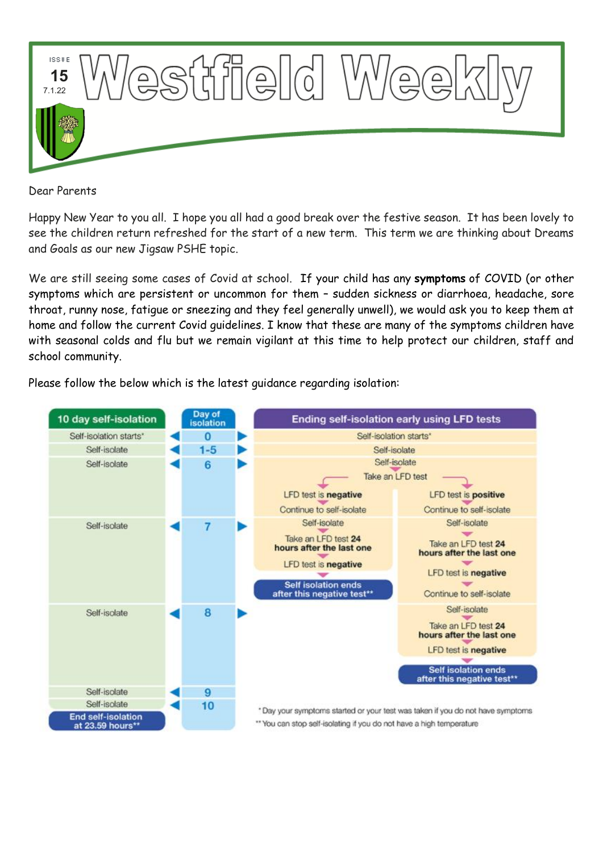

Dear Parents

Happy New Year to you all. I hope you all had a good break over the festive season. It has been lovely to see the children return refreshed for the start of a new term. This term we are thinking about Dreams and Goals as our new Jigsaw PSHE topic.

We are still seeing some cases of Covid at school. If your child has any **symptoms** of COVID (or other symptoms which are persistent or uncommon for them – sudden sickness or diarrhoea, headache, sore throat, runny nose, fatigue or sneezing and they feel generally unwell), we would ask you to keep them at home and follow the current Covid guidelines. I know that these are many of the symptoms children have with seasonal colds and flu but we remain vigilant at this time to help protect our children, staff and school community.

Please follow the below which is the latest guidance regarding isolation:

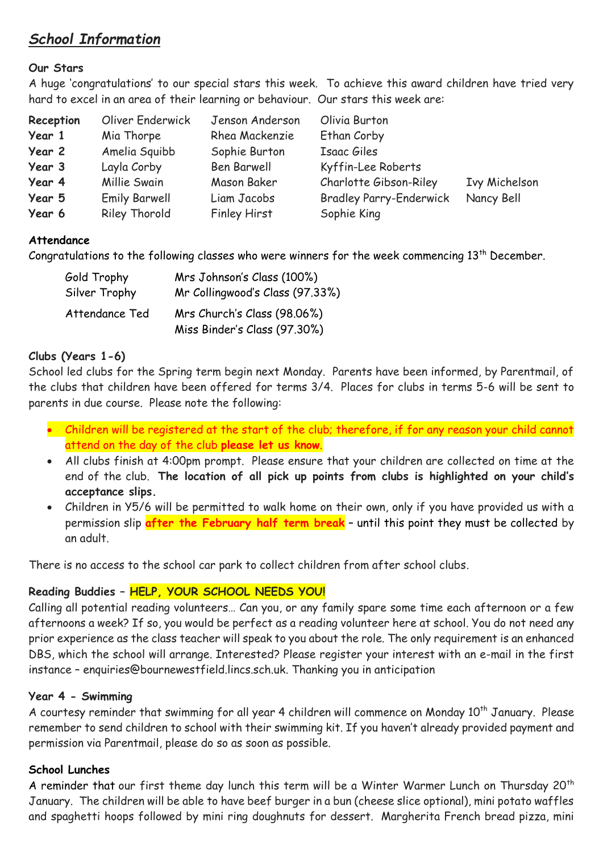# *School Information*

## **Our Stars**

A huge 'congratulations' to our special stars this week. To achieve this award children have tried very hard to excel in an area of their learning or behaviour. Our stars this week are:

| Reception | Oliver Enderwick     | Jenson Anderson     | Olivia Burton                  |                      |
|-----------|----------------------|---------------------|--------------------------------|----------------------|
| Year 1    | Mia Thorpe           | Rhea Mackenzie      | Ethan Corby                    |                      |
| Year 2    | Amelia Squibb        | Sophie Burton       | Isaac Giles                    |                      |
| Year 3    | Layla Corby          | Ben Barwell         | Kyffin-Lee Roberts             |                      |
| Year 4    | Millie Swain         | Mason Baker         | Charlotte Gibson-Riley         | <b>Ivy Michelson</b> |
| Year 5    | <b>Emily Barwell</b> | Liam Jacobs         | <b>Bradley Parry-Enderwick</b> | Nancy Bell           |
| Year 6    | Riley Thorold        | <b>Finley Hirst</b> | Sophie King                    |                      |

### **Attendance**

Congratulations to the following classes who were winners for the week commencing 13<sup>th</sup> December.

| Gold Trophy    | Mrs Johnson's Class (100%)                                  |  |  |
|----------------|-------------------------------------------------------------|--|--|
| Silver Trophy  | Mr Collingwood's Class (97.33%)                             |  |  |
| Attendance Ted | Mrs Church's Class (98.06%)<br>Miss Binder's Class (97.30%) |  |  |

### **Clubs (Years 1-6)**

School led clubs for the Spring term begin next Monday. Parents have been informed, by Parentmail, of the clubs that children have been offered for terms 3/4. Places for clubs in terms 5-6 will be sent to parents in due course. Please note the following:

- Children will be registered at the start of the club; therefore, if for any reason your child cannot attend on the day of the club **please let us know**.
- All clubs finish at 4:00pm prompt. Please ensure that your children are collected on time at the end of the club. **The location of all pick up points from clubs is highlighted on your child's acceptance slips.**
- Children in Y5/6 will be permitted to walk home on their own, only if you have provided us with a permission slip **after the February half term break** – until this point they must be collected by an adult.

There is no access to the school car park to collect children from after school clubs.

# **Reading Buddies – HELP, YOUR SCHOOL NEEDS YOU!**

Calling all potential reading volunteers… Can you, or any family spare some time each afternoon or a few afternoons a week? If so, you would be perfect as a reading volunteer here at school. You do not need any prior experience as the class teacher will speak to you about the role. The only requirement is an enhanced DBS, which the school will arrange. Interested? Please register your interest with an e-mail in the first instance – enquiries@bournewestfield.lincs.sch.uk. Thanking you in anticipation

# **Year 4 - Swimming**

A courtesy reminder that swimming for all year 4 children will commence on Monday 10<sup>th</sup> January. Please remember to send children to school with their swimming kit. If you haven't already provided payment and permission via Parentmail, please do so as soon as possible.

# **School Lunches**

A reminder that our first theme day lunch this term will be a Winter Warmer Lunch on Thursday 20<sup>th</sup> January. The children will be able to have beef burger in a bun (cheese slice optional), mini potato waffles and spaghetti hoops followed by mini ring doughnuts for dessert. Margherita French bread pizza, mini